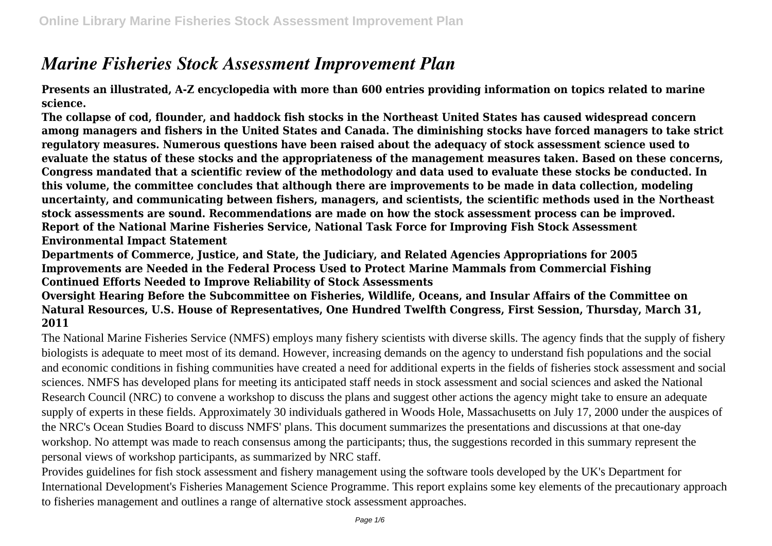## *Marine Fisheries Stock Assessment Improvement Plan*

**Presents an illustrated, A-Z encyclopedia with more than 600 entries providing information on topics related to marine science.**

**The collapse of cod, flounder, and haddock fish stocks in the Northeast United States has caused widespread concern among managers and fishers in the United States and Canada. The diminishing stocks have forced managers to take strict regulatory measures. Numerous questions have been raised about the adequacy of stock assessment science used to evaluate the status of these stocks and the appropriateness of the management measures taken. Based on these concerns, Congress mandated that a scientific review of the methodology and data used to evaluate these stocks be conducted. In this volume, the committee concludes that although there are improvements to be made in data collection, modeling uncertainty, and communicating between fishers, managers, and scientists, the scientific methods used in the Northeast stock assessments are sound. Recommendations are made on how the stock assessment process can be improved. Report of the National Marine Fisheries Service, National Task Force for Improving Fish Stock Assessment Environmental Impact Statement**

**Departments of Commerce, Justice, and State, the Judiciary, and Related Agencies Appropriations for 2005 Improvements are Needed in the Federal Process Used to Protect Marine Mammals from Commercial Fishing Continued Efforts Needed to Improve Reliability of Stock Assessments**

**Oversight Hearing Before the Subcommittee on Fisheries, Wildlife, Oceans, and Insular Affairs of the Committee on Natural Resources, U.S. House of Representatives, One Hundred Twelfth Congress, First Session, Thursday, March 31, 2011**

The National Marine Fisheries Service (NMFS) employs many fishery scientists with diverse skills. The agency finds that the supply of fishery biologists is adequate to meet most of its demand. However, increasing demands on the agency to understand fish populations and the social and economic conditions in fishing communities have created a need for additional experts in the fields of fisheries stock assessment and social sciences. NMFS has developed plans for meeting its anticipated staff needs in stock assessment and social sciences and asked the National Research Council (NRC) to convene a workshop to discuss the plans and suggest other actions the agency might take to ensure an adequate supply of experts in these fields. Approximately 30 individuals gathered in Woods Hole, Massachusetts on July 17, 2000 under the auspices of the NRC's Ocean Studies Board to discuss NMFS' plans. This document summarizes the presentations and discussions at that one-day workshop. No attempt was made to reach consensus among the participants; thus, the suggestions recorded in this summary represent the personal views of workshop participants, as summarized by NRC staff.

Provides guidelines for fish stock assessment and fishery management using the software tools developed by the UK's Department for International Development's Fisheries Management Science Programme. This report explains some key elements of the precautionary approach to fisheries management and outlines a range of alternative stock assessment approaches.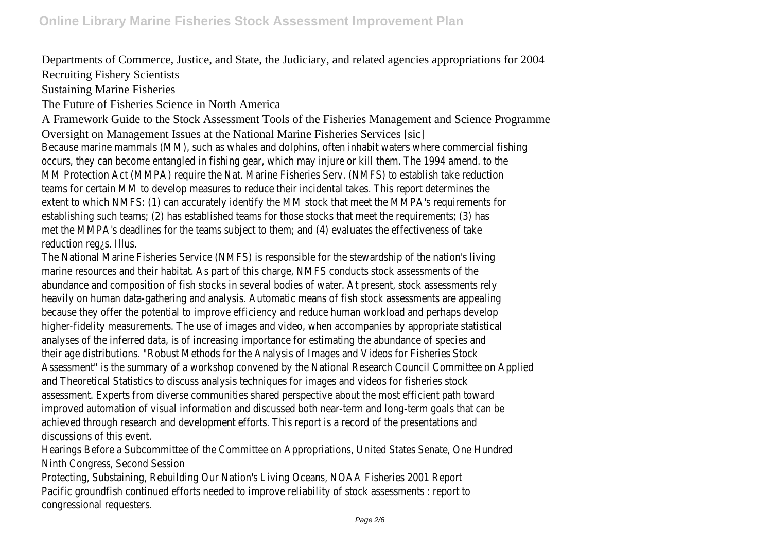Departments of Commerce, Justice, and State, the Judiciary, and related agencies appropriations for 2004

Recruiting Fishery Scientists

Sustaining Marine Fisheries

The Future of Fisheries Science in North America

A Framework Guide to the Stock Assessment Tools of the Fisheries Management and Science Programme

Oversight on Management Issues at the National Marine Fisheries Services [sic]

Because marine mammals (MM), such as whales and dolphins, often inhabit waters where commercial fishing occurs, they can become entangled in fishing gear, which may injure or kill them. The 1994 amend. to the MM Protection Act (MMPA) require the Nat. Marine Fisheries Serv. (NMFS) to establish take reduction teams for certain MM to develop measures to reduce their incidental takes. This report determines the extent to which NMFS: (1) can accurately identify the MM stock that meet the MMPA's requirements for establishing such teams; (2) has established teams for those stocks that meet the requirements; (3) has met the MMPA's deadlines for the teams subject to them; and (4) evaluates the effectiveness of take reduction reg¿s. Illus.

The National Marine Fisheries Service (NMFS) is responsible for the stewardship of the nation's living marine resources and their habitat. As part of this charge, NMFS conducts stock assessments of the abundance and composition of fish stocks in several bodies of water. At present, stock assessments rely heavily on human data-gathering and analysis. Automatic means of fish stock assessments are appealing because they offer the potential to improve efficiency and reduce human workload and perhaps develop higher-fidelity measurements. The use of images and video, when accompanies by appropriate statistical analyses of the inferred data, is of increasing importance for estimating the abundance of species and their age distributions. "Robust Methods for the Analysis of Images and Videos for Fisheries Stock Assessment" is the summary of a workshop convened by the National Research Council Committee on Applied and Theoretical Statistics to discuss analysis techniques for images and videos for fisheries stock assessment. Experts from diverse communities shared perspective about the most efficient path toward improved automation of visual information and discussed both near-term and long-term goals that can be achieved through research and development efforts. This report is a record of the presentations and discussions of this event.

Hearings Before a Subcommittee of the Committee on Appropriations, United States Senate, One Hundred Ninth Congress, Second Session

Protecting, Substaining, Rebuilding Our Nation's Living Oceans, NOAA Fisheries 2001 Report Pacific groundfish continued efforts needed to improve reliability of stock assessments : report to congressional requesters.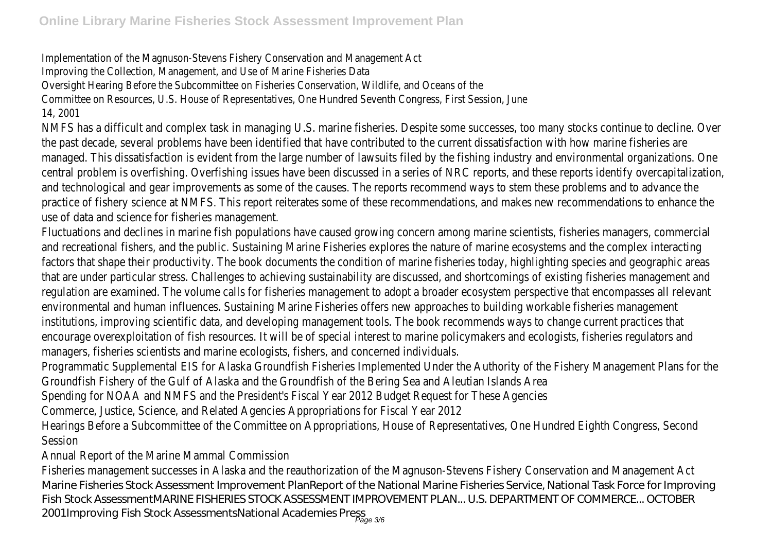Implementation of the Magnuson-Stevens Fishery Conservation and Management Act

Improving the Collection, Management, and Use of Marine Fisheries Data

Oversight Hearing Before the Subcommittee on Fisheries Conservation, Wildlife, and Oceans of the

Committee on Resources, U.S. House of Representatives, One Hundred Seventh Congress, First Session, June 14, 2001

NMFS has a difficult and complex task in managing U.S. marine fisheries. Despite some successes, too many stocks continue the past decade, several problems have been identified that have contributed to the current dissatisfaction with how marine managed. This dissatisfaction is evident from the large number of lawsuits filed by the fishing industry and environmental o central problem is overfishing. Overfishing issues have been discussed in a series of NRC reports, and these reports identify and technological and gear improvements as some of the causes. The reports recommend ways to stem these problems and practice of fishery science at NMFS. This report reiterates some of these recommendations, and makes new recommendations use of data and science for fisheries management.

Fluctuations and declines in marine fish populations have caused growing concern among marine scientists, fisheries managers, commercially entired and the commercial managers. and recreational fishers, and the public. Sustaining Marine Fisheries explores the nature of marine ecosystems and the comp factors that shape their productivity. The book documents the condition of marine fisheries today, highlighting species and that are under particular stress. Challenges to achieving sustainability are discussed, and shortcomings of existing fisheries regulation are examined. The volume calls for fisheries management to adopt a broader ecosystem perspective that encomp environmental and human influences. Sustaining Marine Fisheries offers new approaches to building workable fisheries mana institutions, improving scientific data, and developing management tools. The book recommends ways to change current pra encourage overexploitation of fish resources. It will be of special interest to marine policymakers and ecologists, fisheries regulators and ecologists and ecologists and example is managers, fisheries scientists and marine ecologists, fishers, and concerned individuals.

Programmatic Supplemental EIS for Alaska Groundfish Fisheries Implemented Under the Authority of the Fishery Managemen Groundfish Fishery of the Gulf of Alaska and the Groundfish of the Bering Sea and Aleutian Islands Area Spending for NOAA and NMFS and the President's Fiscal Year 2012 Budget Request for These Agencies

Commerce, Justice, Science, and Related Agencies Appropriations for Fiscal Year 2012

Hearings Before a Subcommittee of the Committee on Appropriations, House of Representatives, One Hundred Eighth Congr Session

Annual Report of the Marine Mammal Commission

Fisheries management successes in Alaska and the reauthorization of the Magnuson-Stevens Fishery Conservation and Man Marine Fisheries Stock Assessment Improvement PlanReport of the National Marine Fisheries Service, National Task Force for Improving Fish Stock AssessmentMARINE FISHERIES STOCK ASSESSMENT IMPROVEMENT PLAN... U.S. DEPARTMENT OF COMMERCE... OCTOBER 2001 Improving Fish Stock AssessmentsNational Academies Press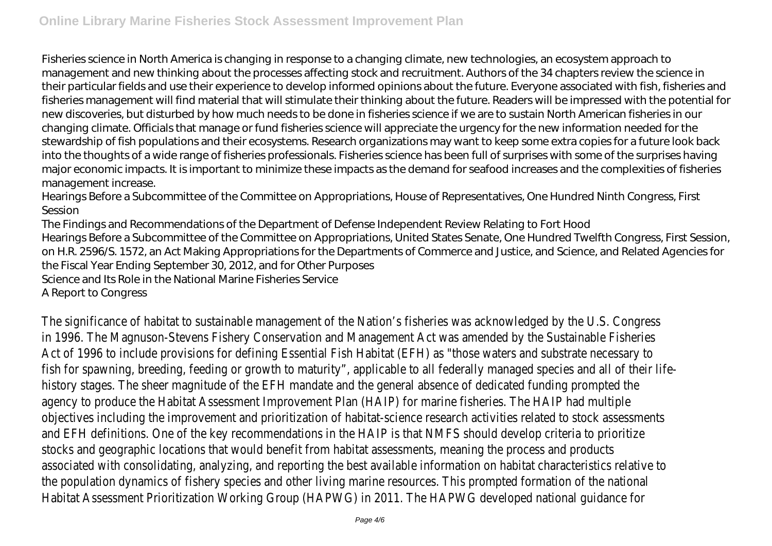Fisheries science in North America is changing in response to a changing climate, new technologies, an ecosystem approach to management and new thinking about the processes affecting stock and recruitment. Authors of the 34 chapters review the science in their particular fields and use their experience to develop informed opinions about the future. Everyone associated with fish, fisheries and fisheries management will find material that will stimulate their thinking about the future. Readers will be impressed with the potential for new discoveries, but disturbed by how much needs to be done in fisheries science if we are to sustain North American fisheries in our changing climate. Officials that manage or fund fisheries science will appreciate the urgency for the new information needed for the stewardship of fish populations and their ecosystems. Research organizations may want to keep some extra copies for a future look back into the thoughts of a wide range of fisheries professionals. Fisheries science has been full of surprises with some of the surprises having major economic impacts. It is important to minimize these impacts as the demand for seafood increases and the complexities of fisheries management increase.

Hearings Before a Subcommittee of the Committee on Appropriations, House of Representatives, One Hundred Ninth Congress, First Session

The Findings and Recommendations of the Department of Defense Independent Review Relating to Fort Hood

Hearings Before a Subcommittee of the Committee on Appropriations, United States Senate, One Hundred Twelfth Congress, First Session, on H.R. 2596/S. 1572, an Act Making Appropriations for the Departments of Commerce and Justice, and Science, and Related Agencies for the Fiscal Year Ending September 30, 2012, and for Other Purposes

Science and Its Role in the National Marine Fisheries Service

A Report to Congress

The significance of habitat to sustainable management of the Nation's fisheries was acknowledged by the U.S. Con in 1996. The Magnuson-Stevens Fishery Conservation and Management Act was amended by the Sustainable Fishe Act of 1996 to include provisions for defining Essential Fish Habitat (EFH) as "those waters and substrate necessa fish for spawning, breeding, feeding or growth to maturity", applicable to all federally managed species and all of the history stages. The sheer magnitude of the EFH mandate and the general absence of dedicated funding prompted t agency to produce the Habitat Assessment Improvement Plan (HAIP) for marine fisheries. The HAIP had multiple objectives including the improvement and prioritization of habitat-science research activities related to stock asses and EFH definitions. One of the key recommendations in the HAIP is that NMFS should develop criteria to prioritize stocks and geographic locations that would benefit from habitat assessments, meaning the process and products associated with consolidating, analyzing, and reporting the best available information on habitat characteristics rel the population dynamics of fishery species and other living marine resources. This prompted formation of the national Habitat Assessment Prioritization Working Group (HAPWG) in 2011. The HAPWG developed national guidance for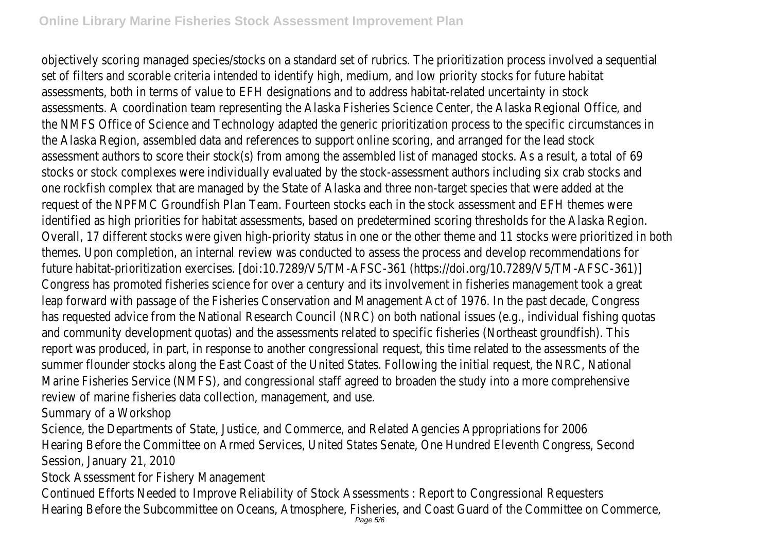objectively scoring managed species/stocks on a standard set of rubrics. The prioritization process involved a segu set of filters and scorable criteria intended to identify high, medium, and low priority stocks for future habitat assessments, both in terms of value to EFH designations and to address habitat-related uncertainty in stock assessments. A coordination team representing the Alaska Fisheries Science Center, the Alaska Regional Office, and the NMFS Office of Science and Technology adapted the generic prioritization process to the specific circumstance the Alaska Region, assembled data and references to support online scoring, and arranged for the lead stock assessment authors to score their stock(s) from among the assembled list of managed stocks. As a result, a total stocks or stock complexes were individually evaluated by the stock-assessment authors including six crab stocks a one rockfish complex that are managed by the State of Alaska and three non-target species that were added at th request of the NPFMC Groundfish Plan Team. Fourteen stocks each in the stock assessment and EFH themes were identified as high priorities for habitat assessments, based on predetermined scoring thresholds for the Alaska Rec Overall, 17 different stocks were given high-priority status in one or the other theme and 11 stocks were prioritize themes. Upon completion, an internal review was conducted to assess the process and develop recommendations future habitat-prioritization exercises. [doi:10.7289/V5/TM-AFSC-361 (https://doi.org/10.7289/V5/TM-AFSC-361)] Congress has promoted fisheries science for over a century and its involvement in fisheries management took a gr leap forward with passage of the Fisheries Conservation and Management Act of 1976. In the past decade, Congre has requested advice from the National Research Council (NRC) on both national issues (e.g., individual fishing quot and community development quotas) and the assessments related to specific fisheries (Northeast groundfish). This report was produced, in part, in response to another congressional request, this time related to the assessments summer flounder stocks along the East Coast of the United States. Following the initial request, the NRC, National Marine Fisheries Service (NMFS), and congressional staff agreed to broaden the study into a more comprehensive review of marine fisheries data collection, management, and use.

Summary of a Workshop

Science, the Departments of State, Justice, and Commerce, and Related Agencies Appropriations for 2006 Hearing Before the Committee on Armed Services, United States Senate, One Hundred Eleventh Congress, Second Session, January 21, 2010

Stock Assessment for Fishery Management

Continued Efforts Needed to Improve Reliability of Stock Assessments : Report to Congressional Requesters Hearing Before the Subcommittee on Oceans, Atmosphere, Fisheries, and Coast Guard of the Committee on Comme<br>Page 5/6